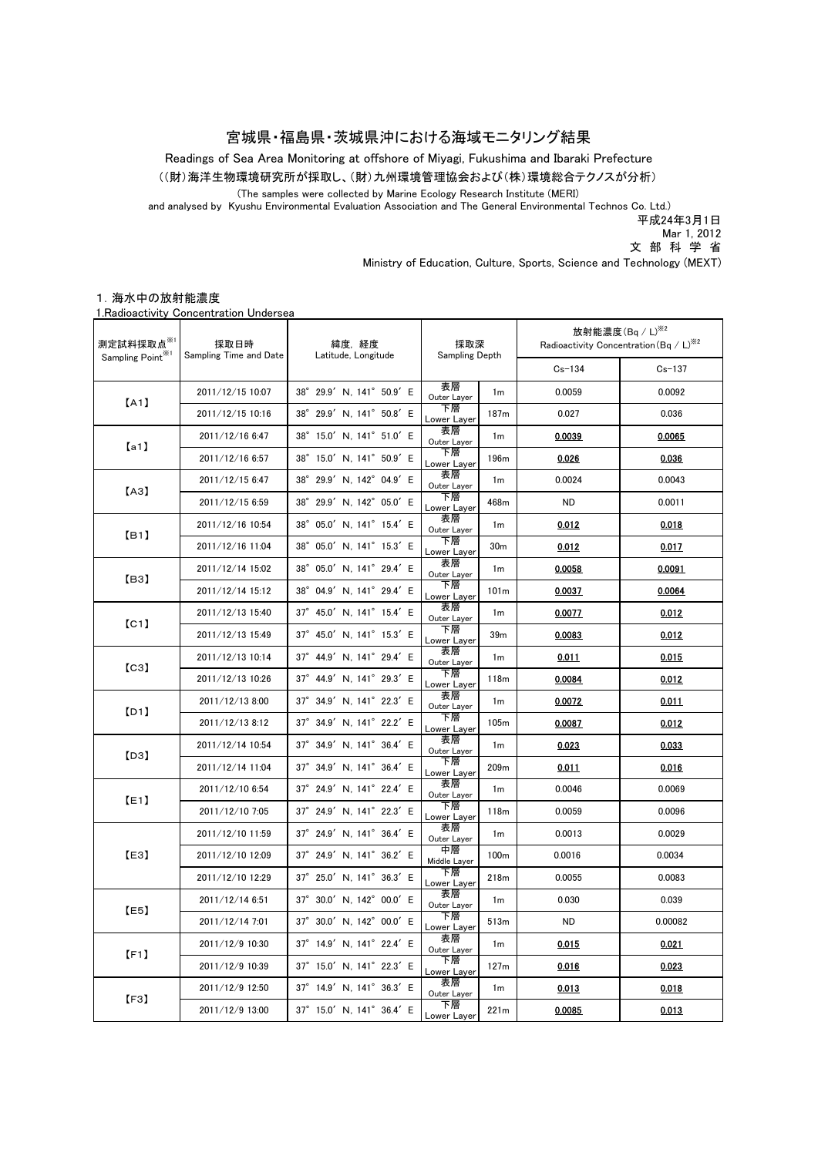### 宮城県・福島県・茨城県沖における海域モニタリング結果

Readings of Sea Area Monitoring at offshore of Miyagi, Fukushima and Ibaraki Prefecture

((財)海洋生物環境研究所が採取し、(財)九州環境管理協会および(株)環境総合テクノスが分析)

(The samples were collected by Marine Ecology Research Institute (MERI)

and analysed by Kyushu Environmental Evaluation Association and The General Environmental Technos Co. Ltd.)

平成24年3月1日

Mar 1, 2012

文 部 科 学 省

Ministry of Education, Culture, Sports, Science and Technology (MEXT)

#### 1.海水中の放射能濃度

1.Radioactivity Concentration Undersea

| 測定試料採取点 <sup>※1</sup><br>Sampling Point <sup>361</sup> | 採取日時<br>Sampling Time and Date | 緯度,経度<br>Latitude, Longitude        | 採取深<br>Sampling Depth |                  | 放射能濃度 $($ Bq / L $)$ <sup>※2</sup><br>Radioactivity Concentration (Bq / L) <sup>362</sup> |            |
|--------------------------------------------------------|--------------------------------|-------------------------------------|-----------------------|------------------|-------------------------------------------------------------------------------------------|------------|
|                                                        |                                |                                     |                       |                  | $Cs - 134$                                                                                | $Cs - 137$ |
| [A1]                                                   | 2011/12/15 10:07               | 38° 29.9' N, 141° 50.9' E           | 表層<br>Outer Layer     | 1 <sub>m</sub>   | 0.0059                                                                                    | 0.0092     |
|                                                        | 2011/12/15 10:16               | $38^\circ$<br>29.9' N, 141° 50.8' E | 下層<br>Lower Layer     | 187m             | 0.027                                                                                     | 0.036      |
| [a1]                                                   | 2011/12/16 6:47                | 38° 15.0' N, 141° 51.0' E           | 表層<br>Outer Layer     | 1 <sub>m</sub>   | 0.0039                                                                                    | 0.0065     |
|                                                        | 2011/12/16 6:57                | 38° 15.0' N, 141° 50.9' E           | 下層<br>Lower Layer     | 196m             | 0.026                                                                                     | 0.036      |
| [A3]                                                   | 2011/12/15 6:47                | 29.9' N, 142° 04.9' E<br>$38^\circ$ | 表層<br>Outer Layer     | 1 <sub>m</sub>   | 0.0024                                                                                    | 0.0043     |
|                                                        | 2011/12/15 6:59                | 29.9' N, 142° 05.0' E<br>$38^\circ$ | 下層<br>Lower Layer     | 468m             | <b>ND</b>                                                                                 | 0.0011     |
| [B1]                                                   | 2011/12/16 10:54               | 05.0' N, 141° 15.4' E<br>$38^\circ$ | 表層<br>Outer Layer     | 1 <sub>m</sub>   | 0.012                                                                                     | 0.018      |
|                                                        | 2011/12/16 11:04               | 38° 05.0' N, 141° 15.3' E           | 下層<br>Lower Layer     | 30 <sub>m</sub>  | 0.012                                                                                     | 0.017      |
| [B3]                                                   | 2011/12/14 15:02               | 05.0' N, 141° 29.4' E<br>$38^\circ$ | 表層<br>Outer Layer     | 1m               | 0.0058                                                                                    | 0.0091     |
|                                                        | 2011/12/14 15:12               | $38^\circ$<br>04.9' N, 141° 29.4' E | 下層<br>Lower Layer     | 101 <sub>m</sub> | 0.0037                                                                                    | 0.0064     |
| [C1]                                                   | 2011/12/13 15:40               | 37° 45.0' N, 141° 15.4' E           | 表層<br>Outer Layer     | 1 <sub>m</sub>   | 0.0077                                                                                    | 0.012      |
|                                                        | 2011/12/13 15:49               | 37° 45.0' N, 141° 15.3' E           | 下層<br>Lower Layer     | 39 <sub>m</sub>  | 0.0083                                                                                    | 0.012      |
| [C3]                                                   | 2011/12/13 10:14               | 37° 44.9' N, 141° 29.4' E           | 表層<br>Outer Layer     | 1 <sub>m</sub>   | 0.011                                                                                     | 0.015      |
|                                                        | 2011/12/13 10:26               | 37° 44.9' N, 141° 29.3' E           | 下層<br>Lower Layer     | 118m             | 0.0084                                                                                    | 0.012      |
| [D1]                                                   | 2011/12/13 8:00                | 37° 34.9' N, 141° 22.3' E           | 表層<br>Outer Layer     | 1 <sub>m</sub>   | 0.0072                                                                                    | 0.011      |
|                                                        | 2011/12/13 8:12                | 37° 34.9' N, 141° 22.2' E           | 下層<br>Lower Layer     | 105m             | 0.0087                                                                                    | 0.012      |
| [D3]                                                   | 2011/12/14 10:54               | 37° 34.9' N, 141° 36.4' E           | 表層<br>Outer Layer     | 1 <sub>m</sub>   | 0.023                                                                                     | 0.033      |
|                                                        | 2011/12/14 11:04               | 34.9' N, 141° 36.4' E<br>$37^\circ$ | 下層<br>Lower Layer     | 209m             | 0.011                                                                                     | 0.016      |
| [E1]                                                   | 2011/12/10 6:54                | 37° 24.9' N, 141° 22.4' E           | 表層<br>Outer Layer     | 1 <sub>m</sub>   | 0.0046                                                                                    | 0.0069     |
|                                                        | 2011/12/10 7:05                | 37° 24.9' N, 141° 22.3' E           | 下層<br>Lower Layer     | 118m             | 0.0059                                                                                    | 0.0096     |
| [E3]                                                   | 2011/12/10 11:59               | 37° 24.9' N, 141° 36.4' E           | 表層<br>Outer Layer     | 1 <sub>m</sub>   | 0.0013                                                                                    | 0.0029     |
|                                                        | 2011/12/10 12:09               | 37° 24.9' N, 141° 36.2' E           | 中層<br>Middle Layer    | 100 <sub>m</sub> | 0.0016                                                                                    | 0.0034     |
|                                                        | 2011/12/10 12:29               | 37° 25.0' N, 141° 36.3' E           | 下層<br>Lower Layer     | 218m             | 0.0055                                                                                    | 0.0083     |
| [E5]                                                   | 2011/12/14 6:51                | 30.0' N, 142° 00.0' E<br>$37^\circ$ | 表層<br>Outer Layer     | 1 <sub>m</sub>   | 0.030                                                                                     | 0.039      |
|                                                        | 2011/12/14 7:01                | 37° 30.0' N, 142° 00.0' E           | 下層<br>Lower Layer     | 513m             | <b>ND</b>                                                                                 | 0.00082    |
| [F1]                                                   | 2011/12/9 10:30                | 37° 14.9' N, 141° 22.4' E           | 表層<br>Outer Layer     | 1 <sub>m</sub>   | 0.015                                                                                     | 0.021      |
|                                                        | 2011/12/9 10:39                | 37° 15.0' N, 141° 22.3' E           | 下層<br>Lower Layer     | 127m             | 0.016                                                                                     | 0.023      |
| [F3]                                                   | 2011/12/9 12:50                | 37° 14.9' N, 141° 36.3' E           | 表層<br>Outer Layer     | 1 <sub>m</sub>   | 0.013                                                                                     | 0.018      |
|                                                        | 2011/12/9 13:00                | 37° 15.0' N, 141° 36.4' E           | 下層<br>Lower Layer     | 221m             | 0.0085                                                                                    | 0.013      |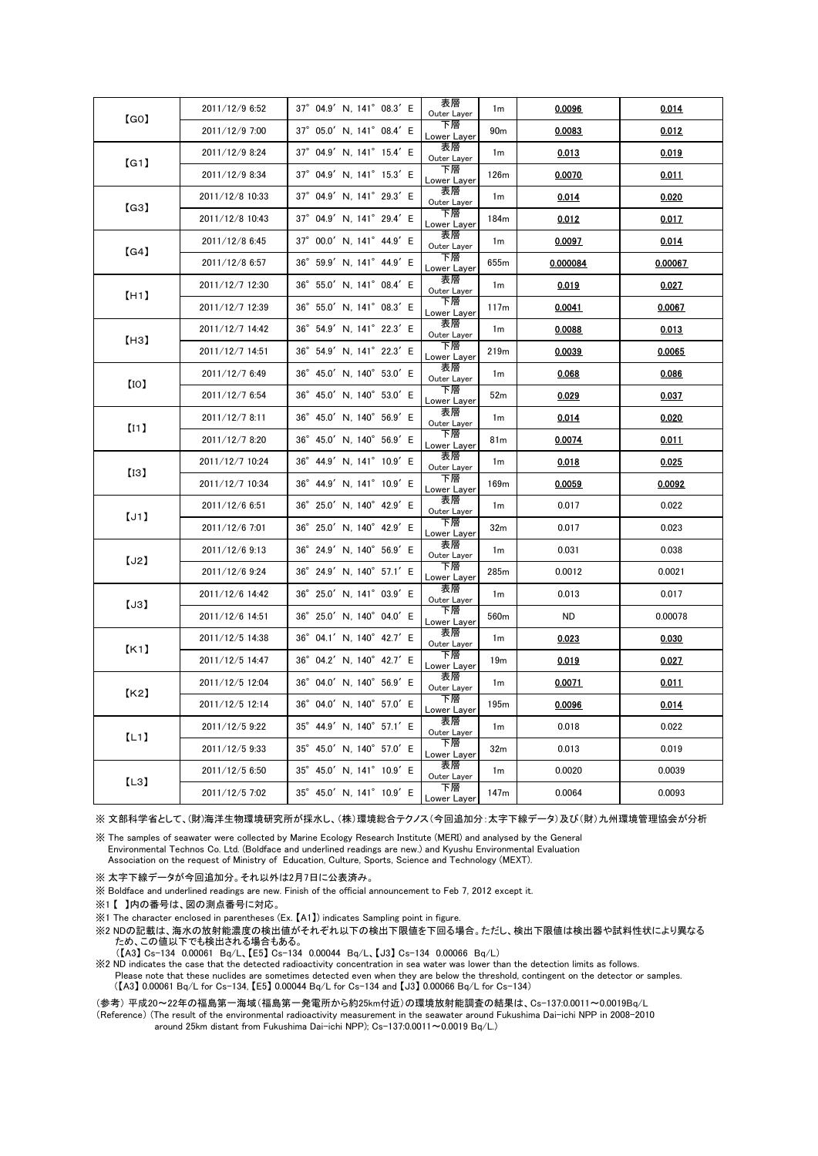| [GO]          | 2011/12/9 6:52  | 37° 04.9' N, 141° 08.3' E                      | 表層<br>Outer Layer | 1 <sub>m</sub>   | 0.0096   | 0.014   |
|---------------|-----------------|------------------------------------------------|-------------------|------------------|----------|---------|
|               | 2011/12/9 7:00  | $37^\circ$<br>05.0' N, 141° 08.4' E            | 下層<br>Lower Layer | 90 <sub>m</sub>  | 0.0083   | 0.012   |
| [G1]          | 2011/12/9 8:24  | 37° 04.9' N, 141° 15.4' E                      | 表層<br>Outer Layer | 1 <sub>m</sub>   | 0.013    | 0.019   |
|               | 2011/12/9 8:34  | 37° 04.9' N, 141° 15.3' E                      | 下層<br>Lower Layer | 126m             | 0.0070   | 0.011   |
| $\lbrack$ G3] | 2011/12/8 10:33 | $37^\circ$<br>04.9' N, 141° 29.3' E            | 表層<br>Outer Layer | 1 <sub>m</sub>   | 0.014    | 0.020   |
|               | 2011/12/8 10:43 | 37° 04.9' N, 141° 29.4' E                      | 下層<br>Lower Layer | 184m             | 0.012    | 0.017   |
| [G4]          | 2011/12/8 6:45  | 37° 00.0' N, 141° 44.9' E                      | 表層<br>Outer Layer | 1m               | 0.0097   | 0.014   |
|               | 2011/12/8 6:57  | $36^{\circ}$<br>$59.9'$ N, $141^\circ$ 44.9' E | 下層<br>Lower Layer | 655 <sub>m</sub> | 0.000084 | 0.00067 |
| [H1]          | 2011/12/7 12:30 | 55.0' N, 141° 08.4' E<br>$36^\circ$            | 表層<br>Outer Layer | 1m               | 0.019    | 0.027   |
|               | 2011/12/7 12:39 | 36° 55.0' N, 141° 08.3' E                      | 下層<br>Lower Layer | 117m             | 0.0041   | 0.0067  |
| (H3)          | 2011/12/7 14:42 | $36^{\circ}$<br>54.9' N, 141° 22.3' E          | 表層<br>Outer Layer | 1 <sub>m</sub>   | 0.0088   | 0.013   |
|               | 2011/12/7 14:51 | 36° 54.9' N, 141° 22.3' E                      | 下層<br>Lower Layer | 219m             | 0.0039   | 0.0065  |
| [10]          | 2011/12/7 6:49  | 45.0' N, 140° 53.0' E<br>$36^\circ$            | 表層<br>Outer Layer | 1m               | 0.068    | 0.086   |
|               | 2011/12/7 6:54  | 36°<br>45.0' N, 140° 53.0' E                   | 下層<br>Lower Layer | 52 <sub>m</sub>  | 0.029    | 0.037   |
|               | 2011/12/7 8:11  | 45.0' N, 140° 56.9' E<br>$36^\circ$            | 表層<br>Outer Layer | 1 <sub>m</sub>   | 0.014    | 0.020   |
| [11]          | 2011/12/7 8:20  | 45.0' N, 140° 56.9' E<br>36°                   | 下層<br>Lower Layer | 81 <sub>m</sub>  | 0.0074   | 0.011   |
|               | 2011/12/7 10:24 | $36^{\circ}$<br>44.9' N, 141° 10.9' E          | 表層<br>Outer Layer | 1m               | 0.018    | 0.025   |
| [13]          | 2011/12/7 10:34 | 44.9' N, 141° 10.9' E<br>$36^{\circ}$          | 下層<br>Lower Layer | 169m             | 0.0059   | 0.0092  |
| [J1]          | 2011/12/6 6:51  | 36° 25.0' N, 140° 42.9' E                      | 表層<br>Outer Layer | 1m               | 0.017    | 0.022   |
|               | 2011/12/6 7:01  | 25.0' N, 140° 42.9' E<br>$36^{\circ}$          | 下層<br>Lower Layer | 32 <sub>m</sub>  | 0.017    | 0.023   |
| [J2]          | 2011/12/6 9:13  | 36° 24.9' N, 140° 56.9' E                      | 表層<br>Outer Layer | 1 <sub>m</sub>   | 0.031    | 0.038   |
|               | 2011/12/6 9:24  | 36° 24.9' N, 140° 57.1' E                      | 下層<br>Lower Layer | 285m             | 0.0012   | 0.0021  |
| [J3]          | 2011/12/6 14:42 | $36^{\circ}$<br>25.0' N, 141° 03.9' E          | 表層<br>Outer Layer | 1m               | 0.013    | 0.017   |
|               | 2011/12/6 14:51 | $36^\circ$<br>25.0' N, 140° 04.0' E            | 下層<br>Lower Layer | 560 <sub>m</sub> | ND.      | 0.00078 |
| K1            | 2011/12/5 14:38 | 36° 04.1' N, 140° 42.7' E                      | 表層<br>Outer Layer | 1m               | 0.023    | 0.030   |
|               | 2011/12/5 14:47 | 04.2' N, 140° 42.7' E<br>$36^\circ$            | 下層<br>Lower Layer | 19 <sub>m</sub>  | 0.019    | 0.027   |
| K2            | 2011/12/5 12:04 | 36° 04.0' N, 140° 56.9' E                      | 表層<br>Outer Layer | 1m               | 0.0071   | 0.011   |
|               | 2011/12/5 12:14 | 36° 04.0' N, 140° 57.0' E                      | 下層<br>Lower Layer | 195m             | 0.0096   | 0.014   |
| [L1]          | 2011/12/5 9:22  | $35^{\circ}$<br>44.9' N, 140° 57.1' E          | 表層<br>Outer Layer | 1m               | 0.018    | 0.022   |
|               | 2011/12/5 9:33  | 35° 45.0' N, 140° 57.0' E                      | 下層<br>Lower Layer | 32 <sub>m</sub>  | 0.013    | 0.019   |
| [L3]          | 2011/12/5 6:50  | 35° 45.0' N, 141° 10.9' E                      | 表層<br>Outer Layer | 1m               | 0.0020   | 0.0039  |
|               | 2011/12/5 7:02  | 35° 45.0' N, 141° 10.9' E                      | 下層<br>Lower Layer | 147m             | 0.0064   | 0.0093  |

※ 文部科学省として、(財)海洋生物環境研究所が採水し、(株)環境総合テクノス(今回追加分:太字下線データ)及び(財)九州環境管理協会が分析

※ The samples of seawater were collected by Marine Ecology Research Institute (MERI) and analysed by the General Environmental Technos Co. Ltd. (Boldface and underlined readings are new.) and Kyushu Environmental Evaluation Association on the request of Ministry of Education, Culture, Sports, Science and Technology (MEXT).

※ 太字下線データが今回追加分。それ以外は2月7日に公表済み。

※ Boldface and underlined readings are new. Finish of the official announcement to Feb 7, 2012 except it.

※1 【 】内の番号は、図の測点番号に対応。

※1 The character enclosed in parentheses (Ex. 【A1】) indicates Sampling point in figure.

※2 NDの記載は、海水の放射能濃度の検出値がそれぞれ以下の検出下限値を下回る場合。ただし、検出下限値は検出器や試料性状により異なる ため、この値以下でも検出される場合もある。

(【A3】 Cs-134 0.00061 Bq/L、【E5】 Cs-134 0.00044 Bq/L、【J3】 Cs-134 0.00066 Bq/L)

※2 ND indicates the case that the detected radioactivity concentration in sea water was lower than the detection limits as follows. Please note that these nuclides are sometimes detected even when they are below the threshold, contingent on the detector or samples. (【A3】 0.00061 Bq/L for Cs-134, 【E5】 0.00044 Bq/L for Cs-134 and 【J3】 0.00066 Bq/L for Cs-134)

(参考) 平成20~22年の福島第一海域(福島第一発電所から約25km付近)の環境放射能調査の結果は、Cs-137:0.0011~0.0019Bq/L (Reference) (The result of the environmental radioactivity measurement in the seawater around Fukushima Dai-ichi NPP in 2008-2010 around 25km distant from Fukushima Dai-ichi NPP); Cs-137:0.0011~0.0019 Bq/L.)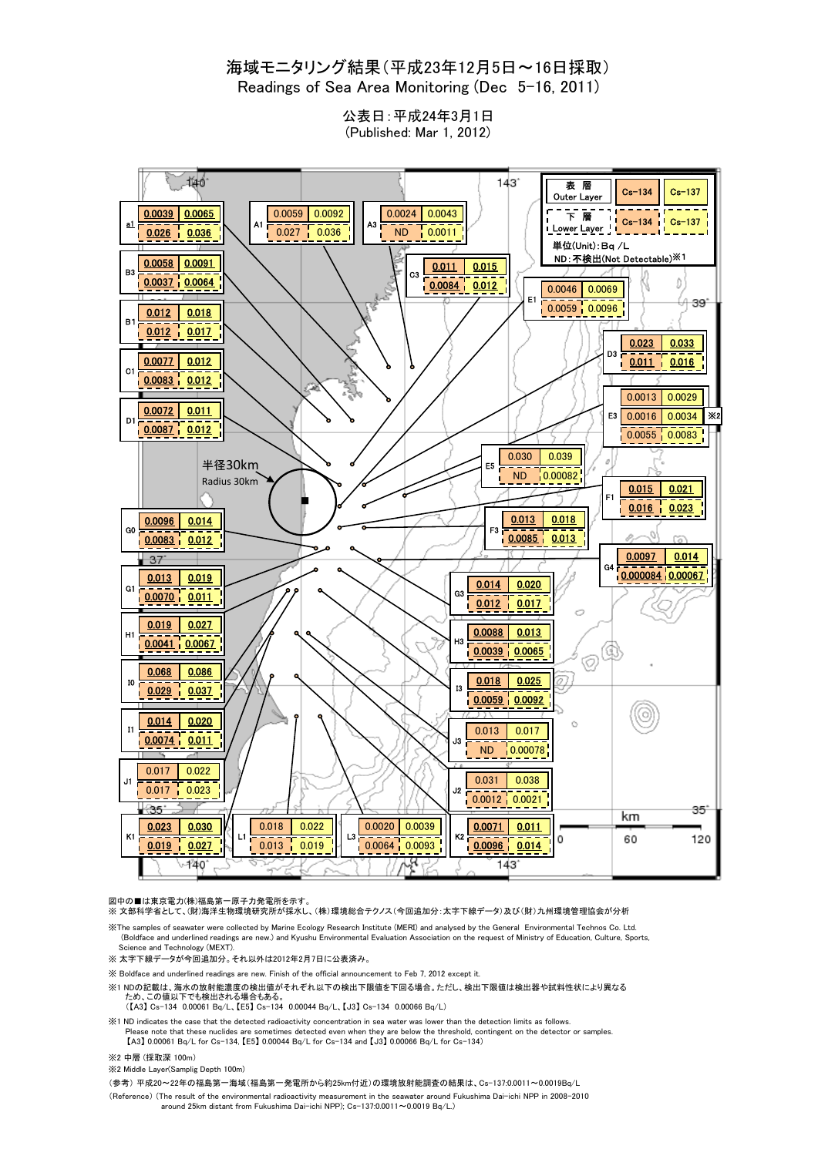### 海域モニタリング結果(平成23年12月5日~16日採取) Readings of Sea Area Monitoring (Dec 5-16, 2011)

公表日:平成24年3月1日 (Published: Mar 1, 2012)



図中の■は東京電力(株)福島第一原子力発電所を示す。<br>※ 文部科学省として、(財)海洋生物環境研究所が採水し、(株)環境総合テクノス(今回追加分:太字下線データ)及び(財)九州環境管理協会が分析

※The samples of seawater were collected by Marine Ecology Research Institute (MERI) and analysed by the General Environmental Technos Co. Ltd. (Boldface and underlined readings are new.) and Kyushu Environmental Evaluation Association on the request of Ministry of Education, Culture, Sports, Science and Technology (MEXT).

※ 太字下線データが今回追加分。それ以外は2012年2月7日に公表済み。

※ Boldface and underlined readings are new. Finish of the official announcement to Feb 7, 2012 except it.

- ※1 NDの記載は、海水の放射能濃度の検出値がそれぞれ以下の検出下限値を下回る場合。ただし、検出下限値は検出器や試料性状により異なる
- ため、この値以下でも検出される場合もある。 (【A3】 Cs-134 0.00061 Bq/L、【E5】 Cs-134 0.00044 Bq/L、【J3】 Cs-134 0.00066 Bq/L)

※1 ND indicates the case that the detected radioactivity concentration in sea water was lower than the detection limits as follows. Please note that these nuclides are sometimes detected even when they are below the threshold, contingent on the detector or samples. 【A3】 0.00061 Bq/L for Cs-134, 【E5】 0.00044 Bq/L for Cs-134 and 【J3】 0.00066 Bq/L for Cs-134)

- ※2 中層 (採取深 100m)
- ※2 Middle Layer(Samplig Depth 100m)

(参考) 平成20~22年の福島第一海域(福島第一発電所から約25km付近)の環境放射能調査の結果は、Cs-137:0.0011~0.0019Bq/L

(Reference) (The result of the environmental radioactivity measurement in the seawater around Fukushima Dai-ichi NPP in 2008-2010 around 25km distant from Fukushima Dai-ichi NPP); Cs-137:0.0011~0.0019 Bq/L.)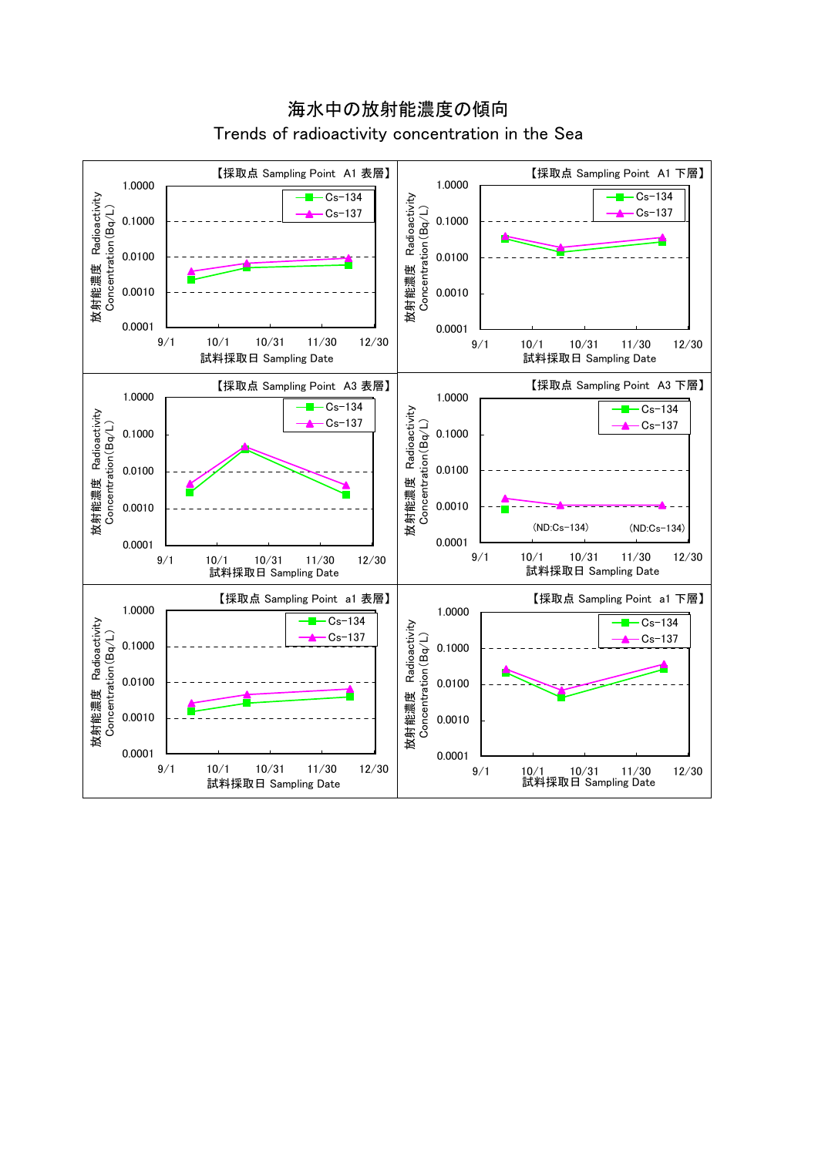

海水中の放射能濃度の傾向 Trends of radioactivity concentration in the Sea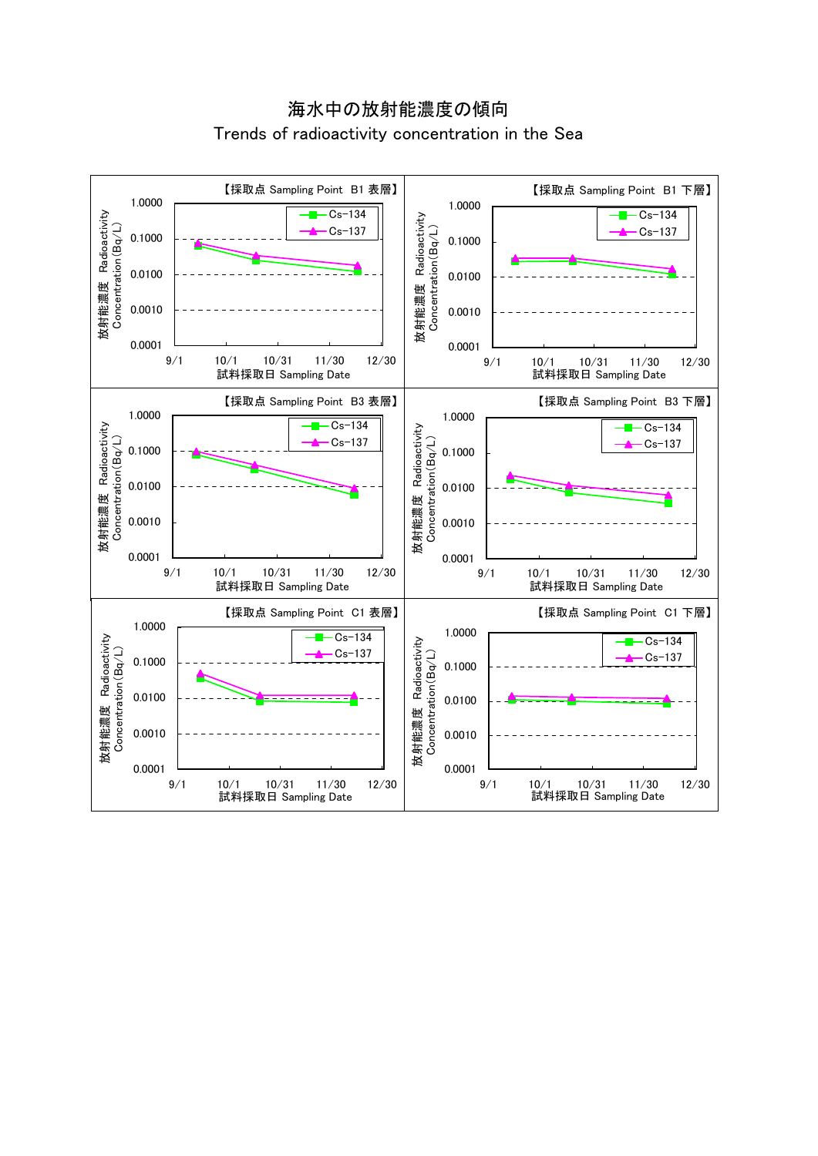海水中の放射能濃度の傾向 Trends of radioactivity concentration in the Sea

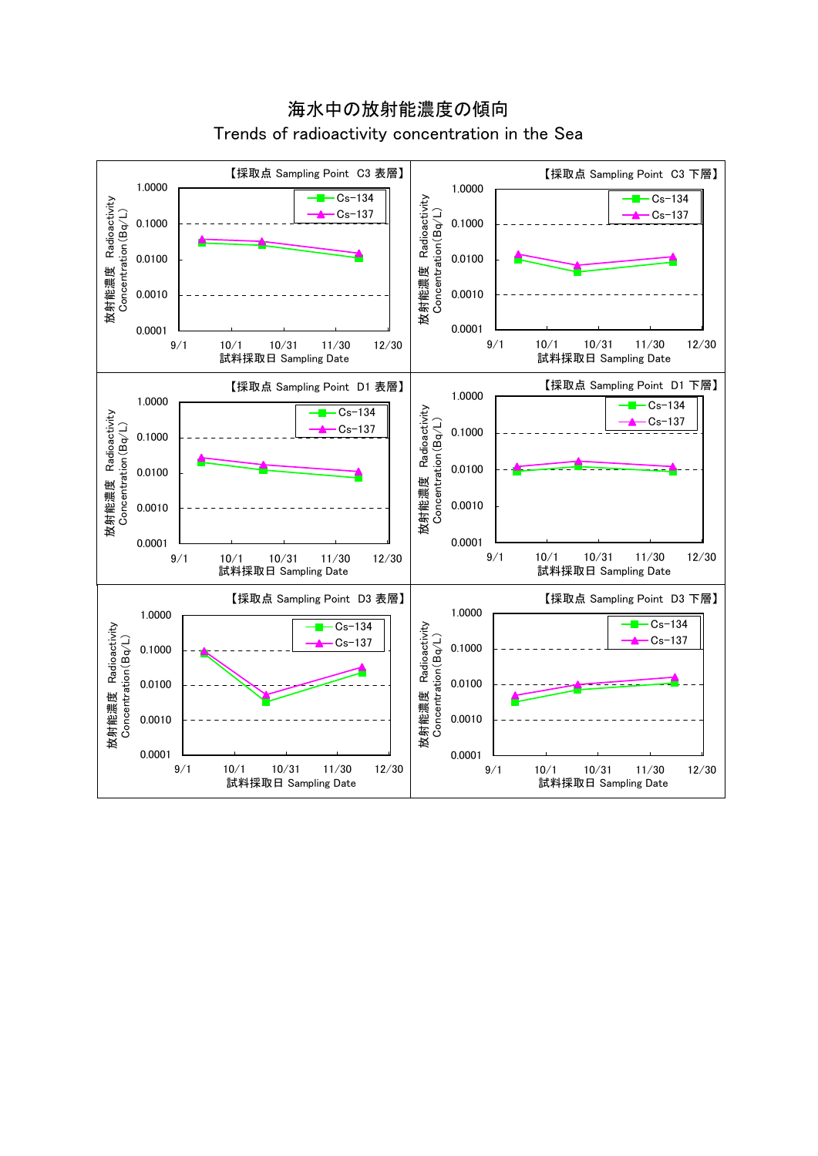

海水中の放射能濃度の傾向 Trends of radioactivity concentration in the Sea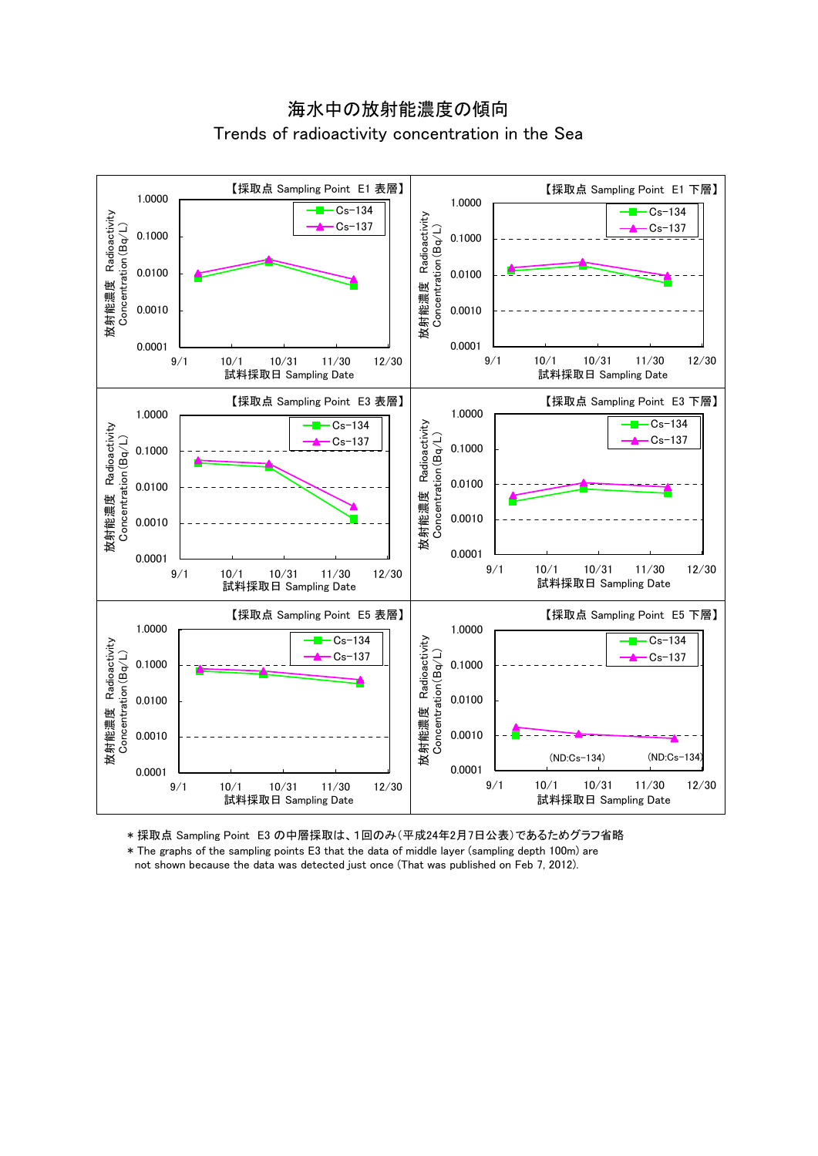## 海水中の放射能濃度の傾向 Trends of radioactivity concentration in the Sea



\* 採取点 Sampling Point E3 の中層採取は、1回のみ(平成24年2月7日公表)であるためグラフ省略

\* The graphs of the sampling points E3 that the data of middle layer (sampling depth 100m) are not shown because the data was detected just once (That was published on Feb 7, 2012).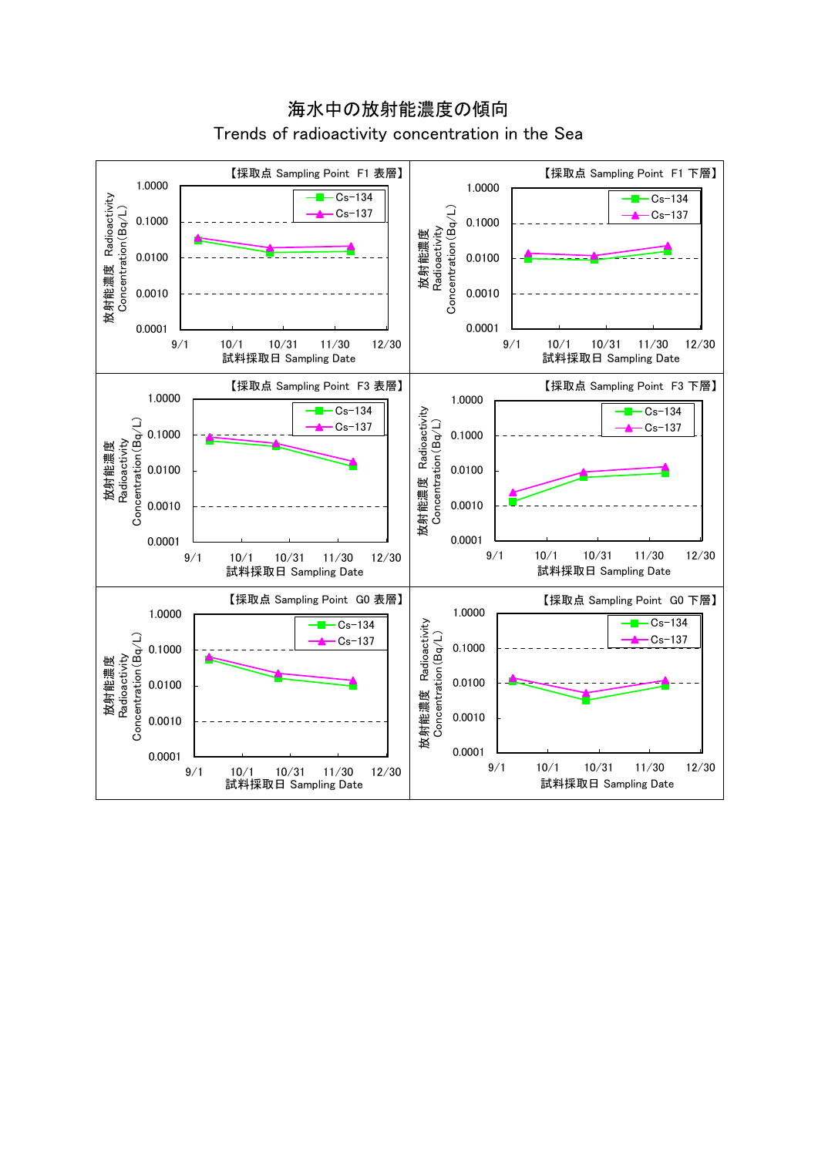

海水中の放射能濃度の傾向 Trends of radioactivity concentration in the Sea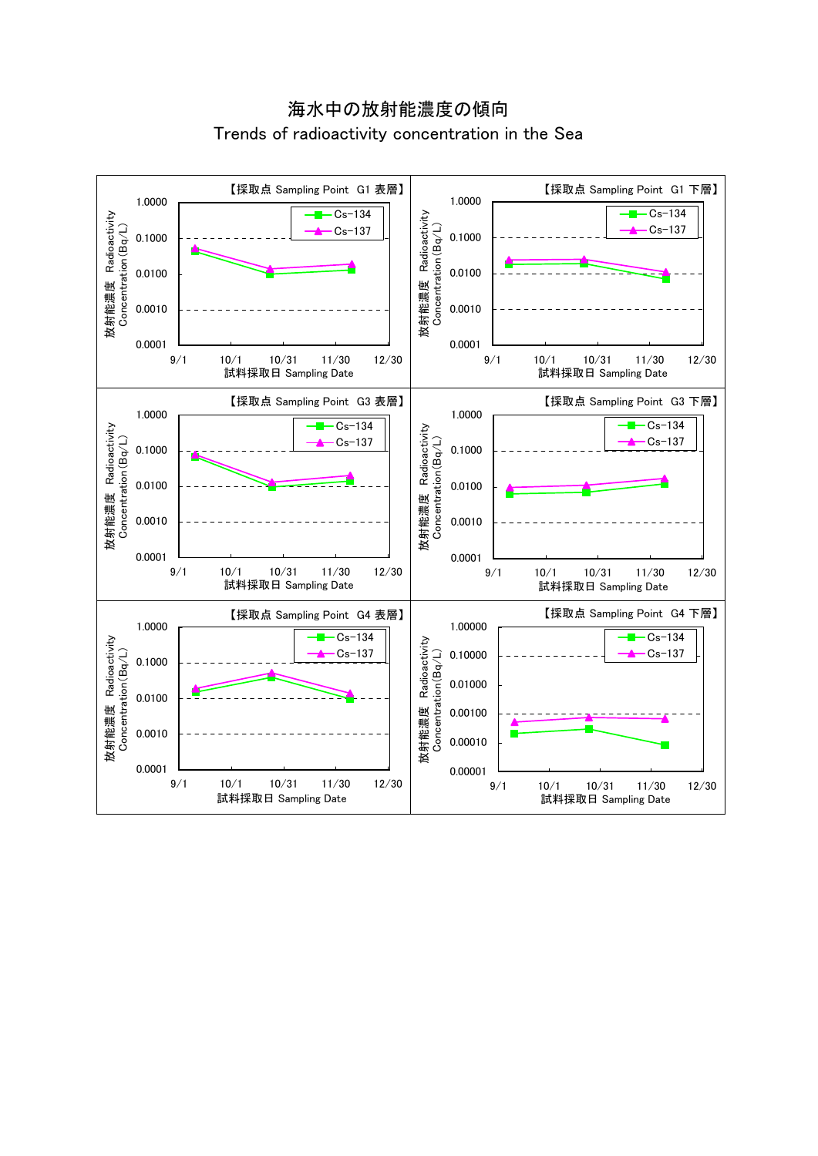# 海水中の放射能濃度の傾向 Trends of radioactivity concentration in the Sea

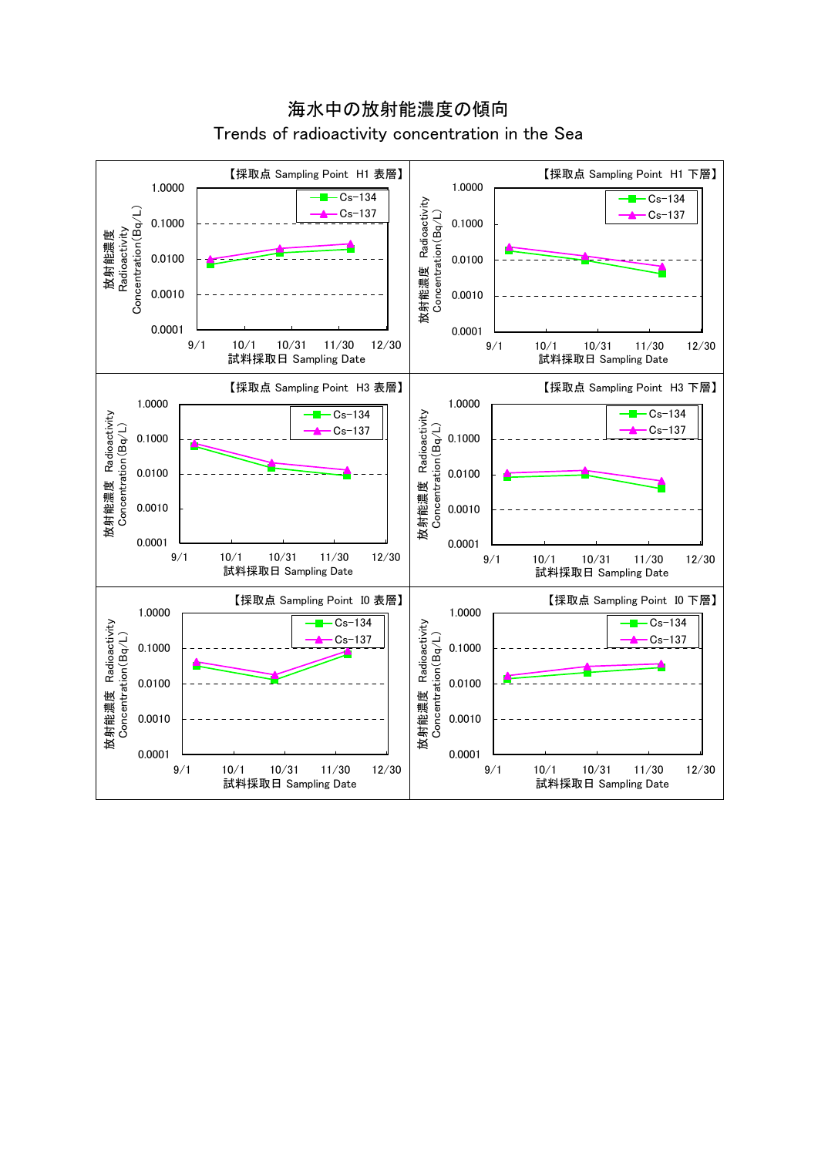

海水中の放射能濃度の傾向 Trends of radioactivity concentration in the Sea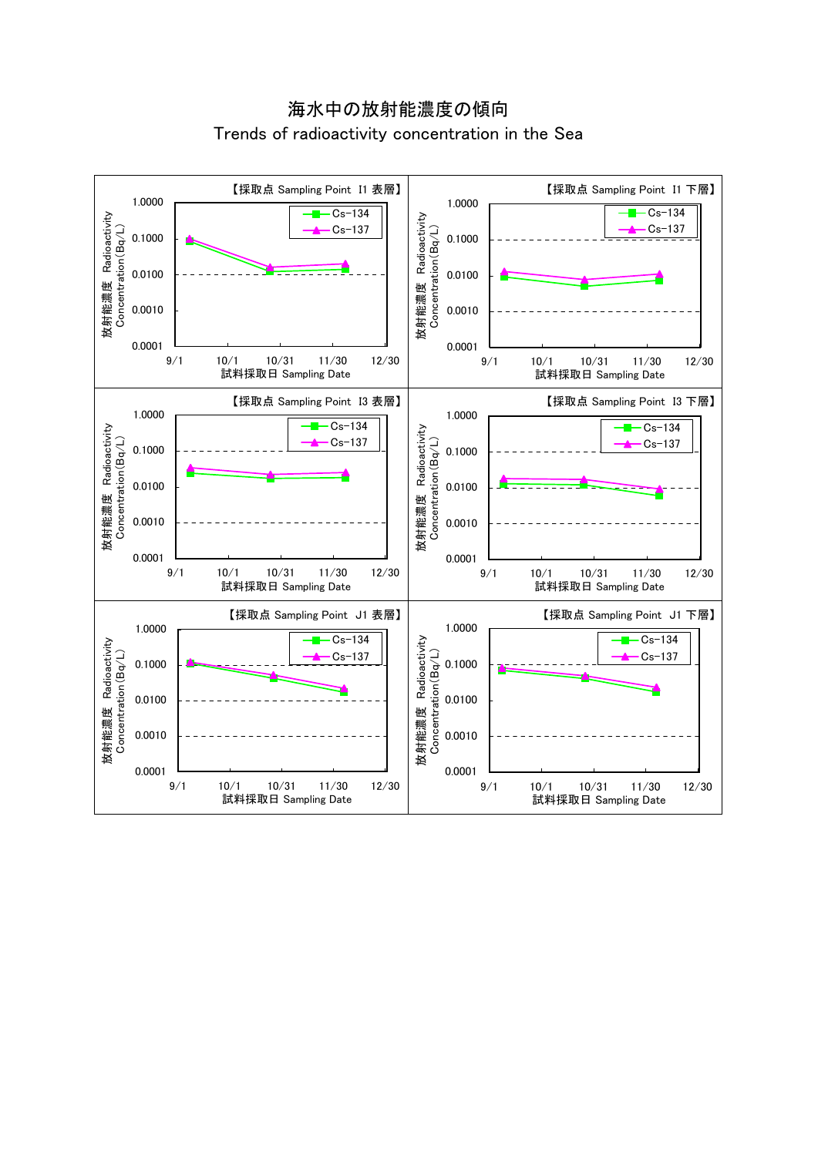海水中の放射能濃度の傾向 Trends of radioactivity concentration in the Sea

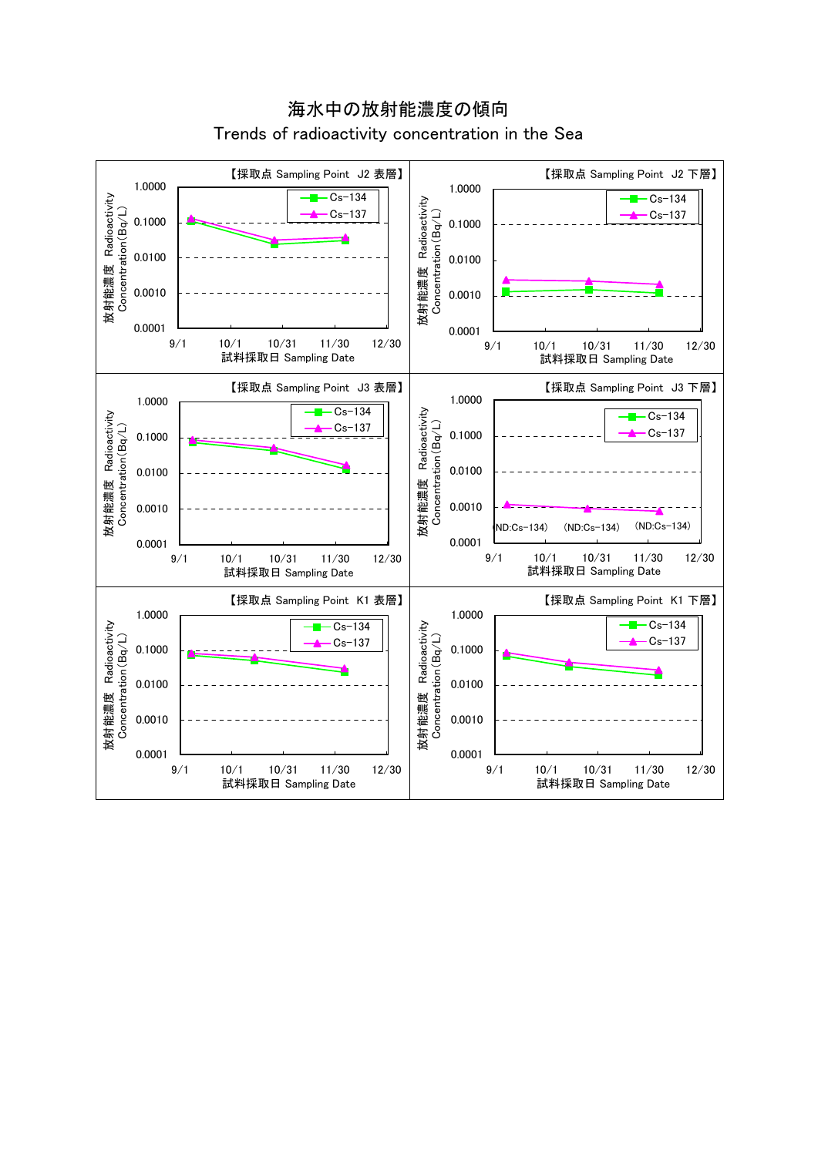

海水中の放射能濃度の傾向 Trends of radioactivity concentration in the Sea